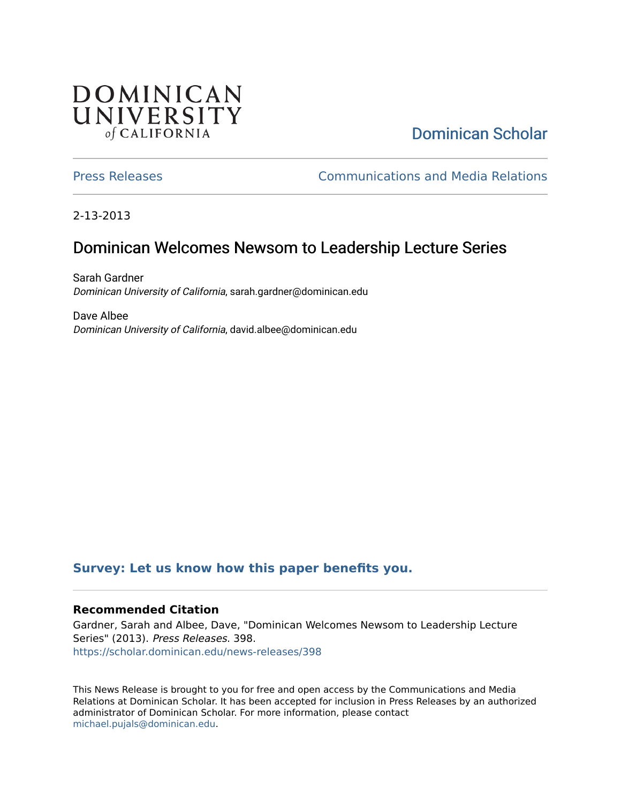# DOMINICAN UNIVERSITY of CALIFORNIA

# [Dominican Scholar](https://scholar.dominican.edu/)

[Press Releases](https://scholar.dominican.edu/news-releases) [Communications and Media Relations](https://scholar.dominican.edu/communications-media) 

2-13-2013

# Dominican Welcomes Newsom to Leadership Lecture Series

Sarah Gardner Dominican University of California, sarah.gardner@dominican.edu

Dave Albee Dominican University of California, david.albee@dominican.edu

### **[Survey: Let us know how this paper benefits you.](https://dominican.libwizard.com/dominican-scholar-feedback)**

#### **Recommended Citation**

Gardner, Sarah and Albee, Dave, "Dominican Welcomes Newsom to Leadership Lecture Series" (2013). Press Releases. 398. [https://scholar.dominican.edu/news-releases/398](https://scholar.dominican.edu/news-releases/398?utm_source=scholar.dominican.edu%2Fnews-releases%2F398&utm_medium=PDF&utm_campaign=PDFCoverPages)

This News Release is brought to you for free and open access by the Communications and Media Relations at Dominican Scholar. It has been accepted for inclusion in Press Releases by an authorized administrator of Dominican Scholar. For more information, please contact [michael.pujals@dominican.edu.](mailto:michael.pujals@dominican.edu)